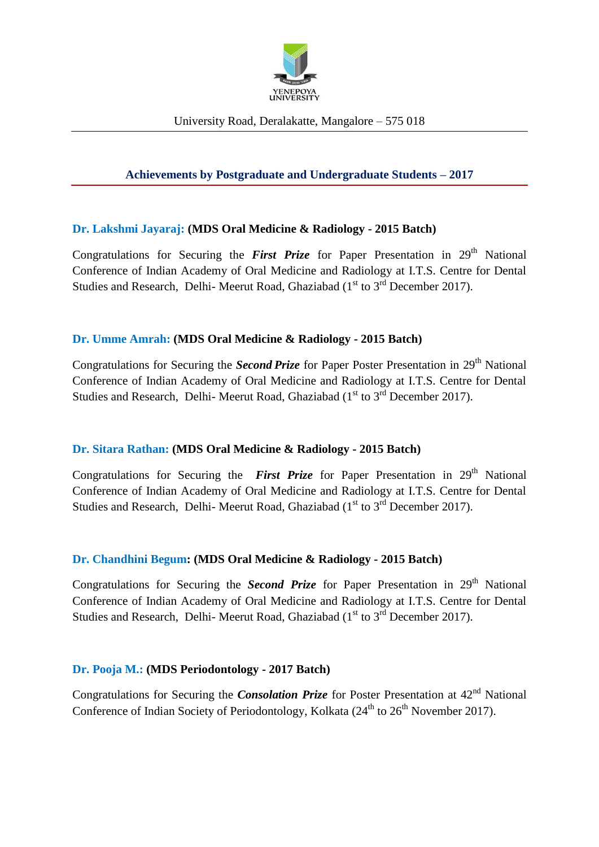

# **Achievements by Postgraduate and Undergraduate Students – 2017**

## **Dr. Lakshmi Jayaraj: (MDS Oral Medicine & Radiology - 2015 Batch)**

Congratulations for Securing the *First Prize* for Paper Presentation in 29<sup>th</sup> National Conference of Indian Academy of Oral Medicine and Radiology at I.T.S. Centre for Dental Studies and Research, Delhi-Meerut Road, Ghaziabad ( $1<sup>st</sup>$  to  $3<sup>rd</sup>$  December 2017).

## **Dr. Umme Amrah: (MDS Oral Medicine & Radiology - 2015 Batch)**

Congratulations for Securing the *Second Prize* for Paper Poster Presentation in 29<sup>th</sup> National Conference of Indian Academy of Oral Medicine and Radiology at I.T.S. Centre for Dental Studies and Research, Delhi-Meerut Road, Ghaziabad ( $1<sup>st</sup>$  to  $3<sup>rd</sup>$  December 2017).

## **Dr. Sitara Rathan: (MDS Oral Medicine & Radiology - 2015 Batch)**

Congratulations for Securing the *First Prize* for Paper Presentation in 29<sup>th</sup> National Conference of Indian Academy of Oral Medicine and Radiology at I.T.S. Centre for Dental Studies and Research, Delhi-Meerut Road, Ghaziabad ( $1<sup>st</sup>$  to  $3<sup>rd</sup>$  December 2017).

## **Dr. Chandhini Begum: (MDS Oral Medicine & Radiology - 2015 Batch)**

Congratulations for Securing the *Second Prize* for Paper Presentation in 29<sup>th</sup> National Conference of Indian Academy of Oral Medicine and Radiology at I.T.S. Centre for Dental Studies and Research, Delhi- Meerut Road, Ghaziabad (1<sup>st</sup> to 3<sup>rd</sup> December 2017).

#### **Dr. Pooja M.: (MDS Periodontology - 2017 Batch)**

Congratulations for Securing the *Consolation Prize* for Poster Presentation at 42<sup>nd</sup> National Conference of Indian Society of Periodontology, Kolkata  $(24^{th}$  to  $26^{th}$  November 2017).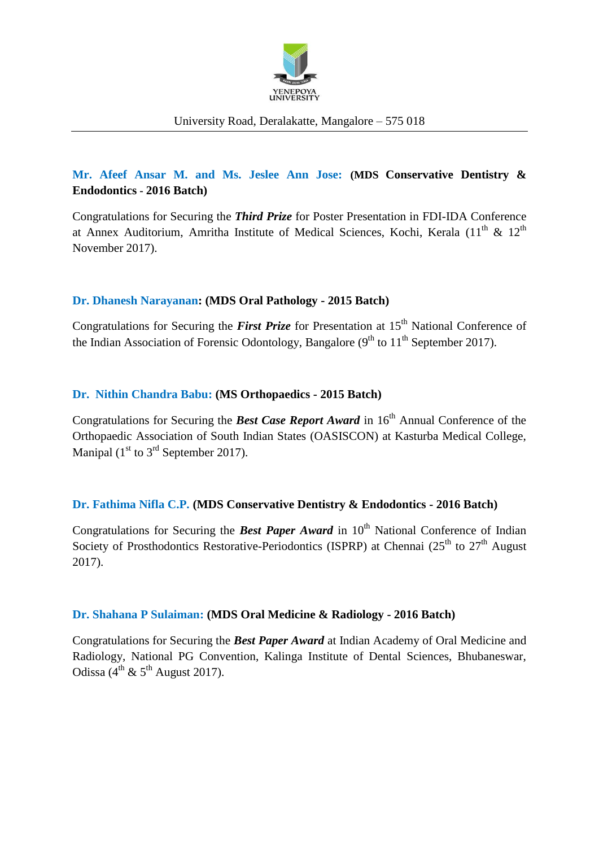

## University Road, Deralakatte, Mangalore – 575 018

# **Mr. Afeef Ansar M. and Ms. Jeslee Ann Jose: (MDS Conservative Dentistry & Endodontics - 2016 Batch)**

Congratulations for Securing the *Third Prize* for Poster Presentation in FDI-IDA Conference at Annex Auditorium, Amritha Institute of Medical Sciences, Kochi, Kerala (11<sup>th</sup> & 12<sup>th</sup> November 2017).

## **Dr. Dhanesh Narayanan: (MDS Oral Pathology - 2015 Batch)**

Congratulations for Securing the *First Prize* for Presentation at 15<sup>th</sup> National Conference of the Indian Association of Forensic Odontology, Bangalore  $(9<sup>th</sup>$  to  $11<sup>th</sup>$  September 2017).

#### **Dr. Nithin Chandra Babu: (MS Orthopaedics - 2015 Batch)**

Congratulations for Securing the **Best Case Report Award** in 16<sup>th</sup> Annual Conference of the Orthopaedic Association of South Indian States (OASISCON) at Kasturba Medical College, Manipal  $(1<sup>st</sup>$  to  $3<sup>rd</sup>$  September 2017).

## **Dr. Fathima Nifla C.P. (MDS Conservative Dentistry & Endodontics - 2016 Batch)**

Congratulations for Securing the **Best Paper Award** in  $10<sup>th</sup>$  National Conference of Indian Society of Prosthodontics Restorative-Periodontics (ISPRP) at Chennai ( $25<sup>th</sup>$  to  $27<sup>th</sup>$  August 2017).

## **Dr. Shahana P Sulaiman: (MDS Oral Medicine & Radiology - 2016 Batch)**

Congratulations for Securing the *Best Paper Award* at Indian Academy of Oral Medicine and Radiology, National PG Convention, Kalinga Institute of Dental Sciences, Bhubaneswar, Odissa ( $4^{th}$  &  $5^{th}$  August 2017).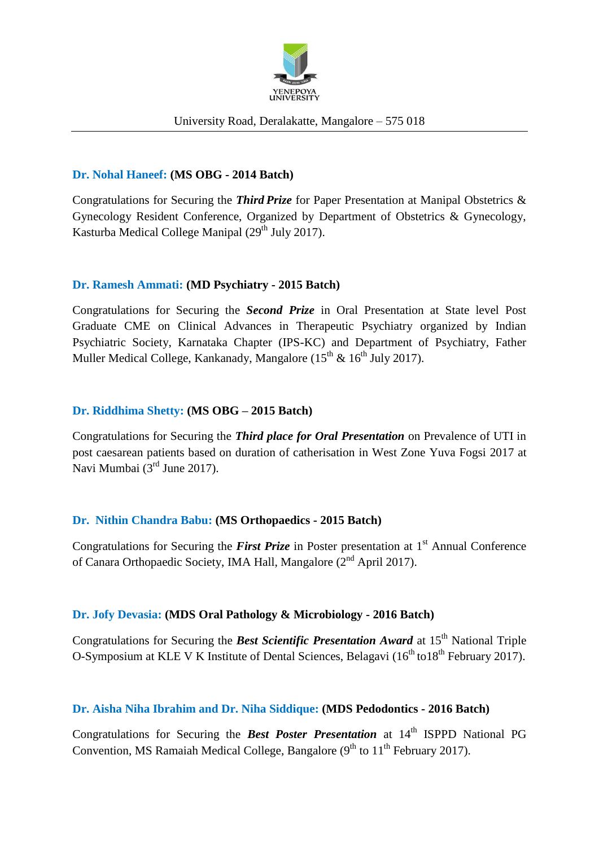

### University Road, Deralakatte, Mangalore – 575 018

### **Dr. Nohal Haneef: (MS OBG - 2014 Batch)**

Congratulations for Securing the *Third Prize* for Paper Presentation at Manipal Obstetrics & Gynecology Resident Conference, Organized by Department of Obstetrics & Gynecology, Kasturba Medical College Manipal  $(29<sup>th</sup>$  July 2017).

#### **Dr. Ramesh Ammati: (MD Psychiatry - 2015 Batch)**

Congratulations for Securing the *Second Prize* in Oral Presentation at State level Post Graduate CME on Clinical Advances in Therapeutic Psychiatry organized by Indian Psychiatric Society, Karnataka Chapter (IPS-KC) and Department of Psychiatry, Father Muller Medical College, Kankanady, Mangalore  $(15^{th} \& 16^{th} \text{ July } 2017)$ .

#### **Dr. Riddhima Shetty: (MS OBG – 2015 Batch)**

Congratulations for Securing the *Third place for Oral Presentation* on Prevalence of UTI in post caesarean patients based on duration of catherisation in West Zone Yuva Fogsi 2017 at Navi Mumbai (3<sup>rd</sup> June 2017).

## **Dr. Nithin Chandra Babu: (MS Orthopaedics - 2015 Batch)**

Congratulations for Securing the *First Prize* in Poster presentation at 1<sup>st</sup> Annual Conference of Canara Orthopaedic Society, IMA Hall, Mangalore (2<sup>nd</sup> April 2017).

## **Dr. Jofy Devasia: (MDS Oral Pathology & Microbiology - 2016 Batch)**

Congratulations for Securing the *Best Scientific Presentation Award* at 15<sup>th</sup> National Triple O-Symposium at KLE V K Institute of Dental Sciences, Belagavi ( $16^{th}$  to  $18^{th}$  February 2017).

#### **Dr. Aisha Niha Ibrahim and Dr. Niha Siddique: (MDS Pedodontics - 2016 Batch)**

Congratulations for Securing the *Best Poster Presentation* at 14<sup>th</sup> ISPPD National PG Convention, MS Ramaiah Medical College, Bangalore  $(9<sup>th</sup>$  to  $11<sup>th</sup>$  February 2017).